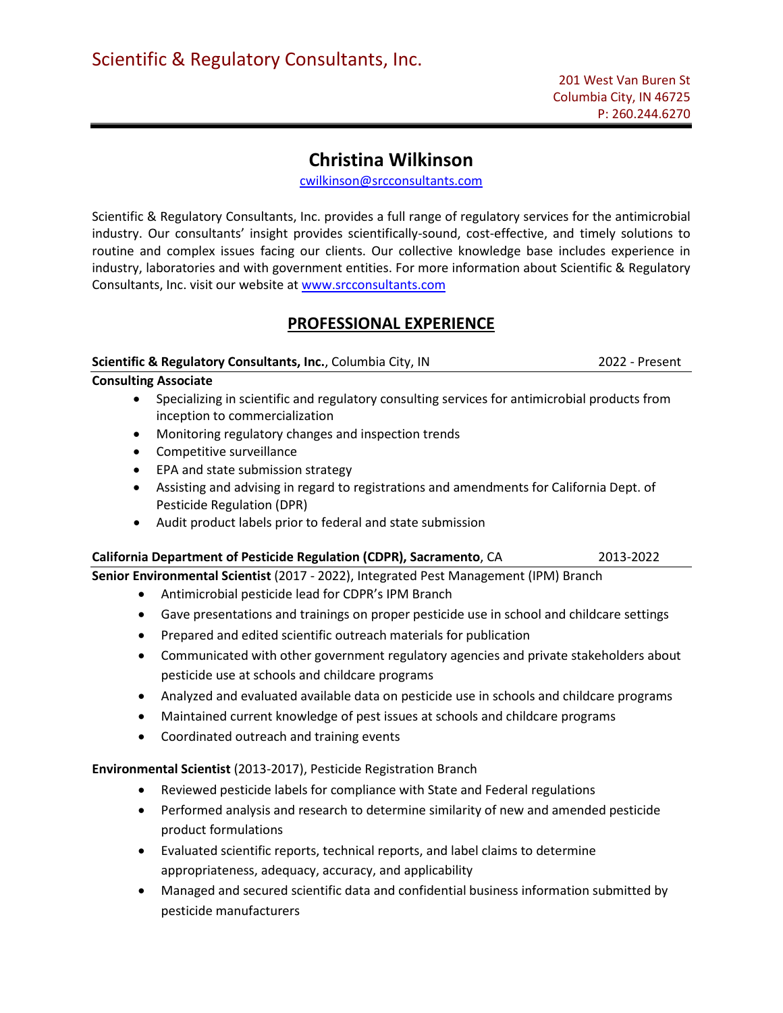# **Christina Wilkinson**

[cwilkinson@srcconsultants.com](mailto:cwilkinson@srcconsultants.com) 

Scientific & Regulatory Consultants, Inc. provides a full range of regulatory services for the antimicrobial industry. Our consultants' insight provides scientifically-sound, cost-effective, and timely solutions to routine and complex issues facing our clients. Our collective knowledge base includes experience in industry, laboratories and with government entities. For more information about Scientific & Regulatory Consultants, Inc. visit our website at [www.srcconsultants.com](http://www.srcconsultants.com/) 

## **PROFESSIONAL EXPERIENCE**

### **Scientific & Regulatory Consultants, Inc.**, Columbia City, IN 2022 - Present

### **Consulting Associate**

- Specializing in scientific and regulatory consulting services for antimicrobial products from inception to commercialization
- Monitoring regulatory changes and inspection trends
- Competitive surveillance
- EPA and state submission strategy
- Assisting and advising in regard to registrations and amendments for California Dept. of Pesticide Regulation (DPR)
- Audit product labels prior to federal and state submission

### **California Department of Pesticide Regulation (CDPR), Sacramento**, CA2013-2022

**Senior Environmental Scientist** (2017 - 2022), Integrated Pest Management (IPM) Branch

- Antimicrobial pesticide lead for CDPR's IPM Branch
- Gave presentations and trainings on proper pesticide use in school and childcare settings
- Prepared and edited scientific outreach materials for publication
- Communicated with other government regulatory agencies and private stakeholders about pesticide use at schools and childcare programs
- Analyzed and evaluated available data on pesticide use in schools and childcare programs
- Maintained current knowledge of pest issues at schools and childcare programs
- Coordinated outreach and training events

### **Environmental Scientist** (2013-2017), Pesticide Registration Branch

- Reviewed pesticide labels for compliance with State and Federal regulations
- Performed analysis and research to determine similarity of new and amended pesticide product formulations
- Evaluated scientific reports, technical reports, and label claims to determine appropriateness, adequacy, accuracy, and applicability
- Managed and secured scientific data and confidential business information submitted by pesticide manufacturers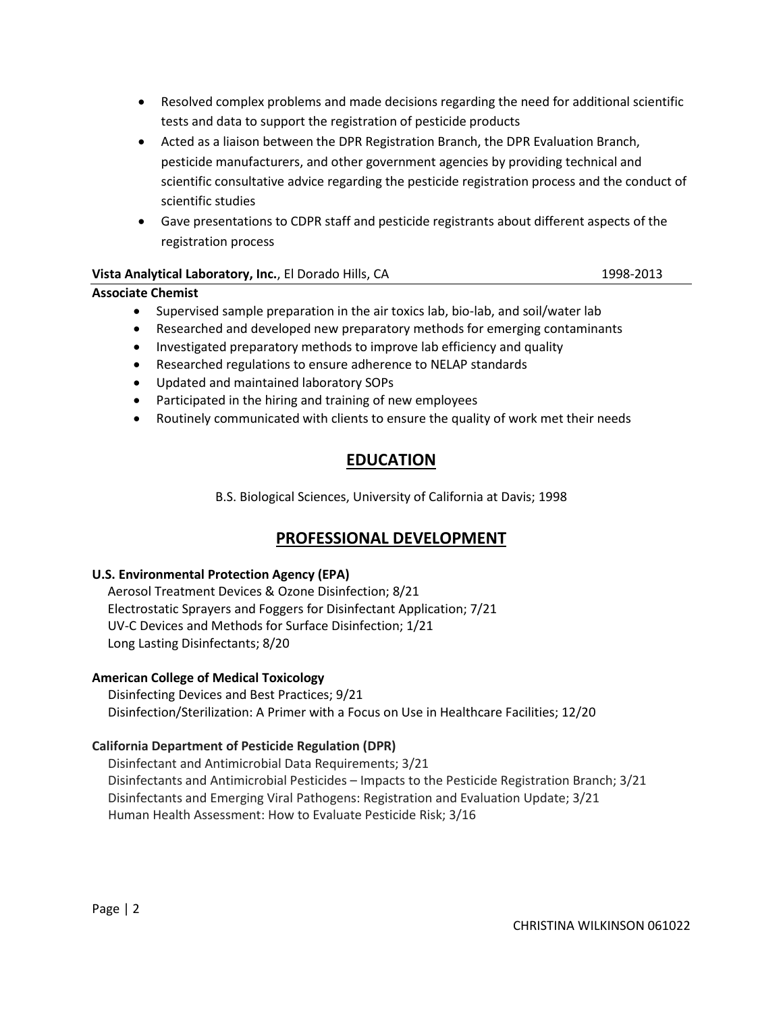- Resolved complex problems and made decisions regarding the need for additional scientific tests and data to support the registration of pesticide products
- Acted as a liaison between the DPR Registration Branch, the DPR Evaluation Branch, pesticide manufacturers, and other government agencies by providing technical and scientific consultative advice regarding the pesticide registration process and the conduct of scientific studies
- Gave presentations to CDPR staff and pesticide registrants about different aspects of the registration process

## **Vista Analytical Laboratory, Inc.**, El Dorado Hills, CA 1998-2013 1998-2013

## **Associate Chemist**

- Supervised sample preparation in the air toxics lab, bio-lab, and soil/water lab
- Researched and developed new preparatory methods for emerging contaminants
- Investigated preparatory methods to improve lab efficiency and quality
- Researched regulations to ensure adherence to NELAP standards
- Updated and maintained laboratory SOPs
- Participated in the hiring and training of new employees
- Routinely communicated with clients to ensure the quality of work met their needs

# **EDUCATION**

B.S. Biological Sciences, University of California at Davis; 1998

# **PROFESSIONAL DEVELOPMENT**

## **U.S. Environmental Protection Agency (EPA)**

Aerosol Treatment Devices & Ozone Disinfection; 8/21 Electrostatic Sprayers and Foggers for Disinfectant Application; 7/21 UV-C Devices and Methods for Surface Disinfection; 1/21 Long Lasting Disinfectants; 8/20

## **American College of Medical Toxicology**

 Disinfecting Devices and Best Practices; 9/21 Disinfection/Sterilization: A Primer with a Focus on Use in Healthcare Facilities; 12/20

## **California Department of Pesticide Regulation (DPR)**

 Disinfectant and Antimicrobial Data Requirements; 3/21 Disinfectants and Antimicrobial Pesticides – Impacts to the Pesticide Registration Branch; 3/21 Disinfectants and Emerging Viral Pathogens: Registration and Evaluation Update; 3/21 Human Health Assessment: How to Evaluate Pesticide Risk; 3/16